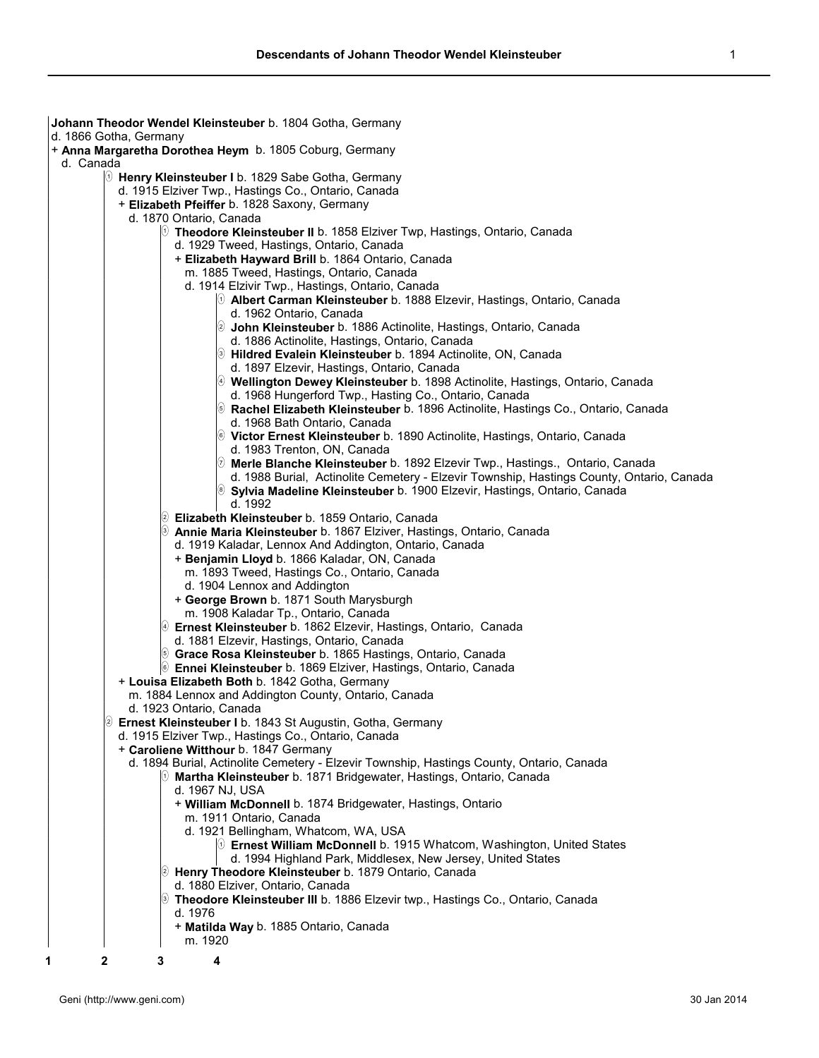| Johann Theodor Wendel Kleinsteuber b. 1804 Gotha, Germany                                                                                 |
|-------------------------------------------------------------------------------------------------------------------------------------------|
| d. 1866 Gotha, Germany                                                                                                                    |
| + Anna Margaretha Dorothea Heym b. 1805 Coburg, Germany                                                                                   |
| d. Canada                                                                                                                                 |
| <b>D</b> Henry Kleinsteuber I b. 1829 Sabe Gotha, Germany                                                                                 |
| d. 1915 Elziver Twp., Hastings Co., Ontario, Canada                                                                                       |
| + Elizabeth Pfeiffer b. 1828 Saxony, Germany                                                                                              |
| d. 1870 Ontario, Canada                                                                                                                   |
| $\%$ Theodore Kleinsteuber II b. 1858 Elziver Twp, Hastings, Ontario, Canada                                                              |
| d. 1929 Tweed, Hastings, Ontario, Canada                                                                                                  |
| + Elizabeth Hayward Brill b. 1864 Ontario, Canada                                                                                         |
| m. 1885 Tweed, Hastings, Ontario, Canada<br>d. 1914 Elzivir Twp., Hastings, Ontario, Canada                                               |
| $\%$ Albert Carman Kleinsteuber b. 1888 Elzevir, Hastings, Ontario, Canada                                                                |
| d. 1962 Ontario, Canada                                                                                                                   |
| 2 John Kleinsteuber b. 1886 Actinolite, Hastings, Ontario, Canada                                                                         |
| d. 1886 Actinolite, Hastings, Ontario, Canada                                                                                             |
| <b>D</b> Hildred Evalein Kleinsteuber b. 1894 Actinolite, ON, Canada                                                                      |
| d. 1897 Elzevir, Hastings, Ontario, Canada                                                                                                |
| <u><sup>(⊙</sup>)</u> Wellington Dewey Kleinsteuber b. 1898 Actinolite, Hastings, Ontario, Canada                                         |
| d. 1968 Hungerford Twp., Hasting Co., Ontario, Canada                                                                                     |
| S Rachel Elizabeth Kleinsteuber b. 1896 Actinolite, Hastings Co., Ontario, Canada                                                         |
| d. 1968 Bath Ontario, Canada                                                                                                              |
| <sup>(6)</sup> Victor Ernest Kleinsteuber b. 1890 Actinolite, Hastings, Ontario, Canada                                                   |
| d. 1983 Trenton, ON, Canada                                                                                                               |
| $\oslash$ Merle Blanche Kleinsteuber <code>b. 1892</code> Elzevir Twp., Hastings.,  Ontario, Canada                                       |
| d. 1988 Burial, Actinolite Cemetery - Elzevir Township, Hastings County, Ontario, Canada                                                  |
| Sylvia Madeline Kleinsteuber b. 1900 Elzevir, Hastings, Ontario, Canada                                                                   |
| d. 1992                                                                                                                                   |
| 2 Elizabeth Kleinsteuber b. 1859 Ontario, Canada                                                                                          |
| S Annie Maria Kleinsteuber b. 1867 Elziver, Hastings, Ontario, Canada                                                                     |
| d. 1919 Kaladar, Lennox And Addington, Ontario, Canada                                                                                    |
| + Benjamin Lloyd b. 1866 Kaladar, ON, Canada                                                                                              |
| m. 1893 Tweed, Hastings Co., Ontario, Canada                                                                                              |
| d. 1904 Lennox and Addington                                                                                                              |
| + George Brown b. 1871 South Marysburgh                                                                                                   |
| m. 1908 Kaladar Tp., Ontario, Canada                                                                                                      |
| 9 Ernest Kleinsteuber b. 1862 Elzevir, Hastings, Ontario, Canada                                                                          |
| d. 1881 Elzevir, Hastings, Ontario, Canada                                                                                                |
| S Grace Rosa Kleinsteuber b. 1865 Hastings, Ontario, Canada<br><sup>6</sup> Ennei Kleinsteuber b. 1869 Elziver, Hastings, Ontario, Canada |
| + Louisa Elizabeth Both b. 1842 Gotha, Germany                                                                                            |
| m. 1884 Lennox and Addington County, Ontario, Canada                                                                                      |
| d. 1923 Ontario, Canada                                                                                                                   |
| 2 Ernest Kleinsteuber I b. 1843 St Augustin, Gotha, Germany                                                                               |
| d. 1915 Elziver Twp., Hastings Co., Ontario, Canada                                                                                       |
| + Caroliene Witthour b. 1847 Germany                                                                                                      |
| d. 1894 Burial, Actinolite Cemetery - Elzevir Township, Hastings County, Ontario, Canada                                                  |
| $\lbrack 0\right.$ Martha Kleinsteuber b. 1871 Bridgewater, Hastings, Ontario, Canada                                                     |
| d. 1967 NJ, USA                                                                                                                           |
| + William McDonnell b. 1874 Bridgewater, Hastings, Ontario                                                                                |
| m. 1911 Ontario, Canada                                                                                                                   |
| d. 1921 Bellingham, Whatcom, WA, USA                                                                                                      |
| $[0]$ Ernest William McDonnell b. 1915 Whatcom, Washington, United States                                                                 |
| d. 1994 Highland Park, Middlesex, New Jersey, United States                                                                               |
| 2 Henry Theodore Kleinsteuber b. 1879 Ontario, Canada                                                                                     |
| d. 1880 Elziver, Ontario, Canada                                                                                                          |
| <sup>(⊚</sup> Theodore Kleinsteuber III b. 1886 Elzevir twp., Hastings Co., Ontario, Canada                                               |
| d. 1976                                                                                                                                   |
| + Matilda Way b. 1885 Ontario, Canada<br>m. 1920                                                                                          |
|                                                                                                                                           |
| 4<br>3                                                                                                                                    |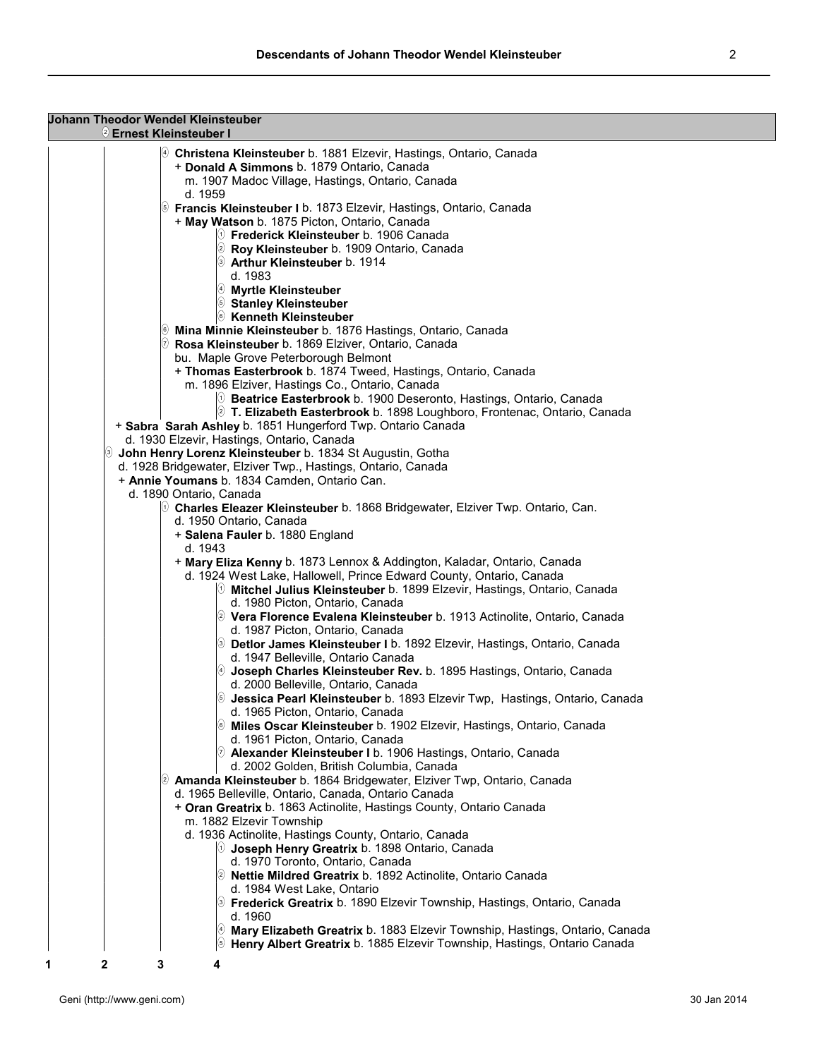| <b>Johann Theodor Wendel Kleinsteuber</b><br>2 Ernest Kleinsteuber I                                                                                               |  |
|--------------------------------------------------------------------------------------------------------------------------------------------------------------------|--|
| <sup>(4)</sup> Christena Kleinsteuber b. 1881 Elzevir, Hastings, Ontario, Canada<br>+ Donald A Simmons b. 1879 Ontario, Canada                                     |  |
| m. 1907 Madoc Village, Hastings, Ontario, Canada<br>d. 1959                                                                                                        |  |
| <b>S</b> Francis Kleinsteuber I b. 1873 Elzevir, Hastings, Ontario, Canada<br>+ May Watson b. 1875 Picton, Ontario, Canada                                         |  |
| $\circledR$ Frederick Kleinsteuber b. 1906 Canada<br><sup>2</sup> Roy Kleinsteuber b. 1909 Ontario, Canada<br>S Arthur Kleinsteuber b. 1914                        |  |
| d. 1983<br>$\ket{\theta}$ Myrtle Kleinsteuber                                                                                                                      |  |
| Stanley Kleinsteuber<br><sup>6</sup> Kenneth Kleinsteuber                                                                                                          |  |
| <sup>®</sup> Mina Minnie Kleinsteuber b. 1876 Hastings, Ontario, Canada<br>2 Rosa Kleinsteuber b. 1869 Elziver, Ontario, Canada                                    |  |
| bu. Maple Grove Peterborough Belmont<br>+ Thomas Easterbrook b. 1874 Tweed, Hastings, Ontario, Canada<br>m. 1896 Elziver, Hastings Co., Ontario, Canada            |  |
| <sup>(1)</sup> Beatrice Easterbrook b. 1900 Deseronto, Hastings, Ontario, Canada<br>2 T. Elizabeth Easterbrook b. 1898 Loughboro, Frontenac, Ontario, Canada       |  |
| + Sabra Sarah Ashley b. 1851 Hungerford Twp. Ontario Canada<br>d. 1930 Elzevir, Hastings, Ontario, Canada                                                          |  |
| John Henry Lorenz Kleinsteuber b. 1834 St Augustin, Gotha<br>d. 1928 Bridgewater, Elziver Twp., Hastings, Ontario, Canada                                          |  |
| + Annie Youmans b. 1834 Camden, Ontario Can.<br>d. 1890 Ontario, Canada                                                                                            |  |
| $\Diamond$ Charles Eleazer Kleinsteuber b. 1868 Bridgewater, Elziver Twp. Ontario, Can.                                                                            |  |
| d. 1950 Ontario, Canada                                                                                                                                            |  |
| + Salena Fauler b. 1880 England                                                                                                                                    |  |
| d. 1943                                                                                                                                                            |  |
| + Mary Eliza Kenny b. 1873 Lennox & Addington, Kaladar, Ontario, Canada                                                                                            |  |
| d. 1924 West Lake, Hallowell, Prince Edward County, Ontario, Canada                                                                                                |  |
| <sup>(①</sup> Mitchel Julius Kleinsteuber b. 1899 Elzevir, Hastings, Ontario, Canada                                                                               |  |
| d. 1980 Picton, Ontario, Canada                                                                                                                                    |  |
| 2 Vera Florence Evalena Kleinsteuber b. 1913 Actinolite, Ontario, Canada                                                                                           |  |
| d. 1987 Picton, Ontario, Canada                                                                                                                                    |  |
| S Detlor James Kleinsteuber I b. 1892 Elzevir, Hastings, Ontario, Canada<br>d. 1947 Belleville, Ontario Canada                                                     |  |
| 4 Joseph Charles Kleinsteuber Rev. b. 1895 Hastings, Ontario, Canada<br>d. 2000 Belleville, Ontario, Canada                                                        |  |
| S Jessica Pearl Kleinsteuber b. 1893 Elzevir Twp, Hastings, Ontario, Canada<br>d. 1965 Picton, Ontario, Canada                                                     |  |
| 6 Miles Oscar Kleinsteuber b. 1902 Elzevir, Hastings, Ontario, Canada<br>d. 1961 Picton, Ontario, Canada                                                           |  |
| 2 Alexander Kleinsteuber I b. 1906 Hastings, Ontario, Canada<br>d. 2002 Golden, British Columbia, Canada                                                           |  |
| 2 Amanda Kleinsteuber b. 1864 Bridgewater, Elziver Twp, Ontario, Canada<br>d. 1965 Belleville, Ontario, Canada, Ontario Canada                                     |  |
| + Oran Greatrix b. 1863 Actinolite, Hastings County, Ontario Canada<br>m. 1882 Elzevir Township                                                                    |  |
| d. 1936 Actinolite, Hastings County, Ontario, Canada                                                                                                               |  |
| $\emptyset$ Joseph Henry Greatrix b. 1898 Ontario, Canada<br>d. 1970 Toronto, Ontario, Canada                                                                      |  |
| 2 Nettie Mildred Greatrix b. 1892 Actinolite, Ontario Canada                                                                                                       |  |
| d. 1984 West Lake, Ontario<br><sup>3</sup> Frederick Greatrix b. 1890 Elzevir Township, Hastings, Ontario, Canada                                                  |  |
| d. 1960                                                                                                                                                            |  |
| 4 Mary Elizabeth Greatrix b. 1883 Elzevir Township, Hastings, Ontario, Canada<br><b>B</b> Henry Albert Greatrix b. 1885 Elzevir Township, Hastings, Ontario Canada |  |
| 2<br>3<br>4<br>1                                                                                                                                                   |  |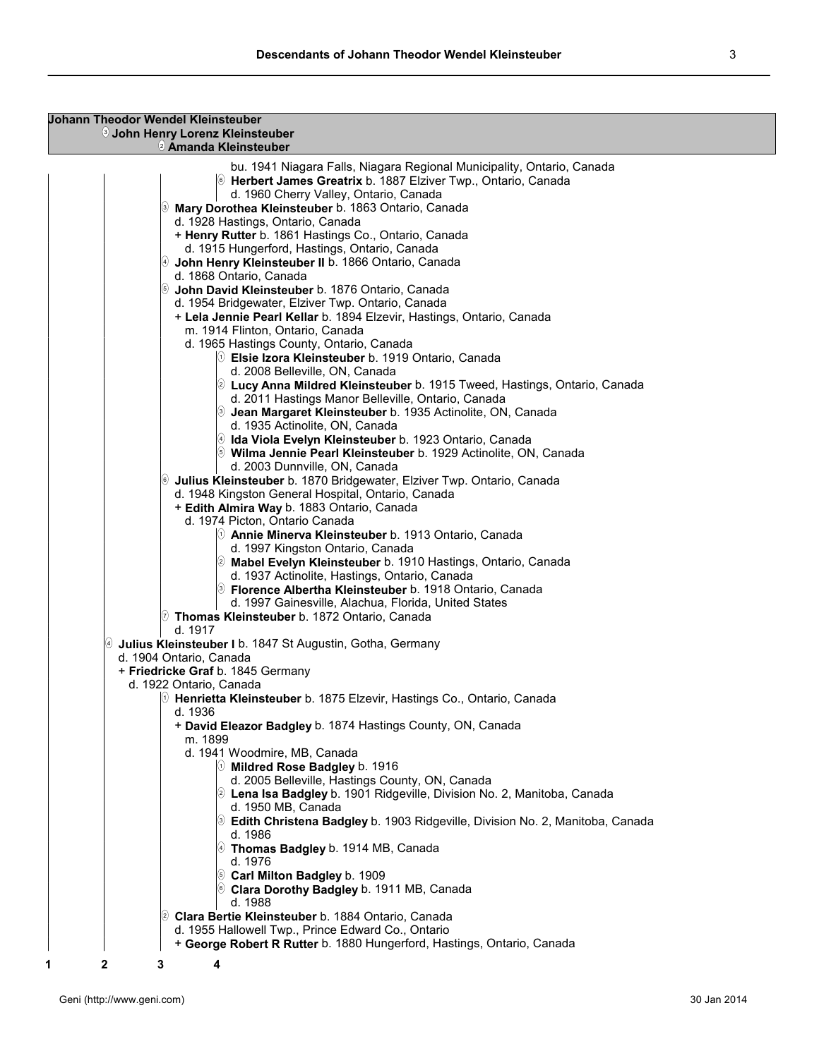## **Johann Theodor Wendel Kleinsteuber** <sup>3</sup> **John Henry Lorenz Kleinsteuber**

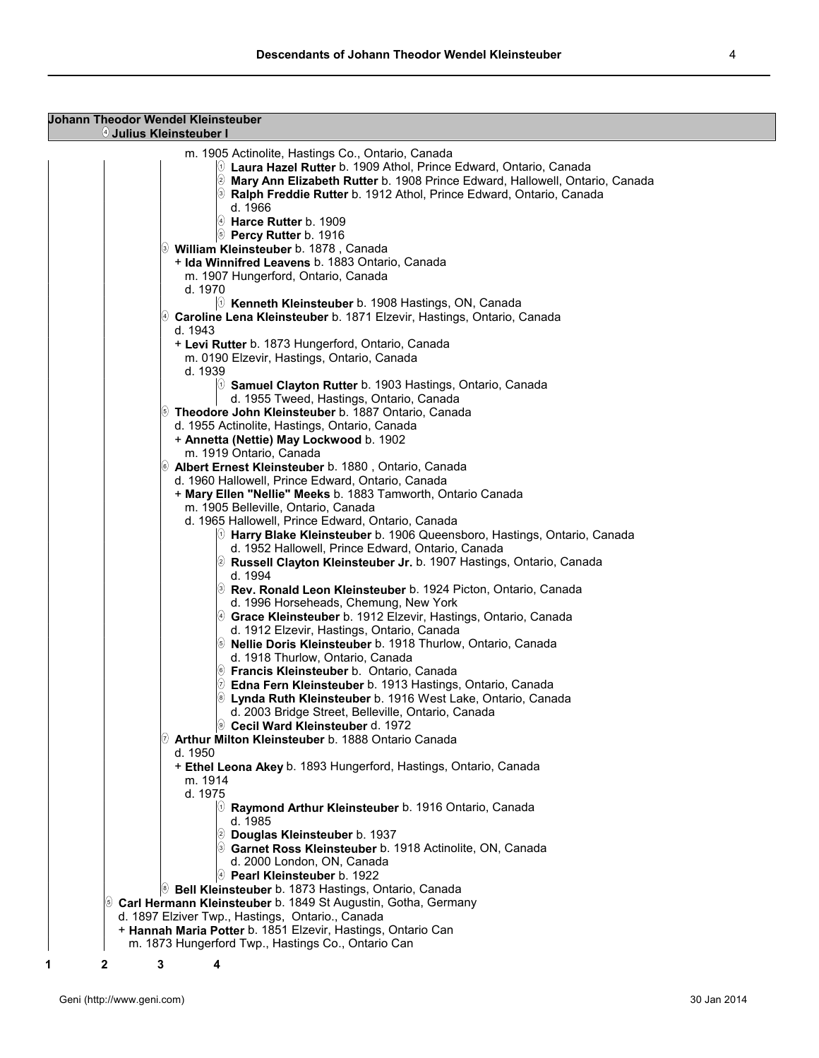| <b>Johann Theodor Wendel Kleinsteuber</b><br>4 Julius Kleinsteuber I                                                       |  |
|----------------------------------------------------------------------------------------------------------------------------|--|
|                                                                                                                            |  |
| m. 1905 Actinolite, Hastings Co., Ontario, Canada<br>$\%$ Laura Hazel Rutter b. 1909 Athol, Prince Edward, Ontario, Canada |  |
|                                                                                                                            |  |
| Mary Ann Elizabeth Rutter b. 1908 Prince Edward, Hallowell, Ontario, Canada                                                |  |
| S Ralph Freddie Rutter b. 1912 Athol, Prince Edward, Ontario, Canada                                                       |  |
| d. 1966                                                                                                                    |  |
| $\Theta$ Harce Rutter b. 1909                                                                                              |  |
| <b>S</b> Percy Rutter b. 1916                                                                                              |  |
| William Kleinsteuber b. 1878, Canada                                                                                       |  |
| + Ida Winnifred Leavens b. 1883 Ontario, Canada                                                                            |  |
| m. 1907 Hungerford, Ontario, Canada                                                                                        |  |
| d. 1970                                                                                                                    |  |
| $\ket{\theta}$ Kenneth Kleinsteuber b. 1908 Hastings, ON, Canada                                                           |  |
| @ Caroline Lena Kleinsteuber b. 1871 Elzevir, Hastings, Ontario, Canada                                                    |  |
| d. 1943                                                                                                                    |  |
| + Levi Rutter b. 1873 Hungerford, Ontario, Canada                                                                          |  |
| m. 0190 Elzevir, Hastings, Ontario, Canada                                                                                 |  |
| d. 1939                                                                                                                    |  |
| $[0]$ Samuel Clayton Rutter b. 1903 Hastings, Ontario, Canada                                                              |  |
| d. 1955 Tweed, Hastings, Ontario, Canada                                                                                   |  |
| 5 Theodore John Kleinsteuber b. 1887 Ontario, Canada                                                                       |  |
| d. 1955 Actinolite, Hastings, Ontario, Canada                                                                              |  |
| + Annetta (Nettie) May Lockwood b. 1902                                                                                    |  |
|                                                                                                                            |  |
| m. 1919 Ontario, Canada                                                                                                    |  |
| 6 Albert Ernest Kleinsteuber b. 1880, Ontario, Canada                                                                      |  |
| d. 1960 Hallowell, Prince Edward, Ontario, Canada                                                                          |  |
| + Mary Ellen "Nellie" Meeks b. 1883 Tamworth, Ontario Canada                                                               |  |
| m. 1905 Belleville, Ontario, Canada                                                                                        |  |
| d. 1965 Hallowell, Prince Edward, Ontario, Canada                                                                          |  |
| $[0]$ Harry Blake Kleinsteuber b. 1906 Queensboro, Hastings, Ontario, Canada                                               |  |
| d. 1952 Hallowell, Prince Edward, Ontario, Canada                                                                          |  |
| 2 Russell Clayton Kleinsteuber Jr. b. 1907 Hastings, Ontario, Canada                                                       |  |
| d. 1994                                                                                                                    |  |
| <sup>3</sup> Rev. Ronald Leon Kleinsteuber b. 1924 Picton, Ontario, Canada                                                 |  |
| d. 1996 Horseheads, Chemung, New York                                                                                      |  |
| 4 Grace Kleinsteuber b. 1912 Elzevir, Hastings, Ontario, Canada                                                            |  |
| d. 1912 Elzevir, Hastings, Ontario, Canada                                                                                 |  |
| <b>S</b> Nellie Doris Kleinsteuber b. 1918 Thurlow, Ontario, Canada                                                        |  |
| d. 1918 Thurlow, Ontario, Canada                                                                                           |  |
| <sup>6</sup> Francis Kleinsteuber b. Ontario, Canada                                                                       |  |
| $\oslash$ Edna Fern Kleinsteuber b. 1913 Hastings, Ontario, Canada                                                         |  |
| S Lynda Ruth Kleinsteuber b. 1916 West Lake, Ontario, Canada                                                               |  |
| d. 2003 Bridge Street, Belleville, Ontario, Canada                                                                         |  |
| © Cecil Ward Kleinsteuber d. 1972                                                                                          |  |
| $\circledcirc$ Arthur Milton Kleinsteuber b. 1888 Ontario Canada                                                           |  |
| d. 1950                                                                                                                    |  |
| + Ethel Leona Akey b. 1893 Hungerford, Hastings, Ontario, Canada                                                           |  |
| m. 1914                                                                                                                    |  |
| d. 1975                                                                                                                    |  |
| $\odot$ Raymond Arthur Kleinsteuber b. 1916 Ontario, Canada                                                                |  |
| d. 1985                                                                                                                    |  |
| 2 Douglas Kleinsteuber b. 1937                                                                                             |  |
| Sarnet Ross Kleinsteuber b. 1918 Actinolite, ON, Canada                                                                    |  |
|                                                                                                                            |  |
| d. 2000 London, ON, Canada                                                                                                 |  |
| $\ket{\theta}$ Pearl Kleinsteuber b. 1922                                                                                  |  |
| <sup>(@</sup> Bell Kleinsteuber b. 1873 Hastings, Ontario, Canada                                                          |  |
| S Carl Hermann Kleinsteuber b. 1849 St Augustin, Gotha, Germany                                                            |  |
| d. 1897 Elziver Twp., Hastings, Ontario., Canada                                                                           |  |
| + Hannah Maria Potter b. 1851 Elzevir, Hastings, Ontario Can                                                               |  |
| m. 1873 Hungerford Twp., Hastings Co., Ontario Can                                                                         |  |
| 3<br>1<br>2                                                                                                                |  |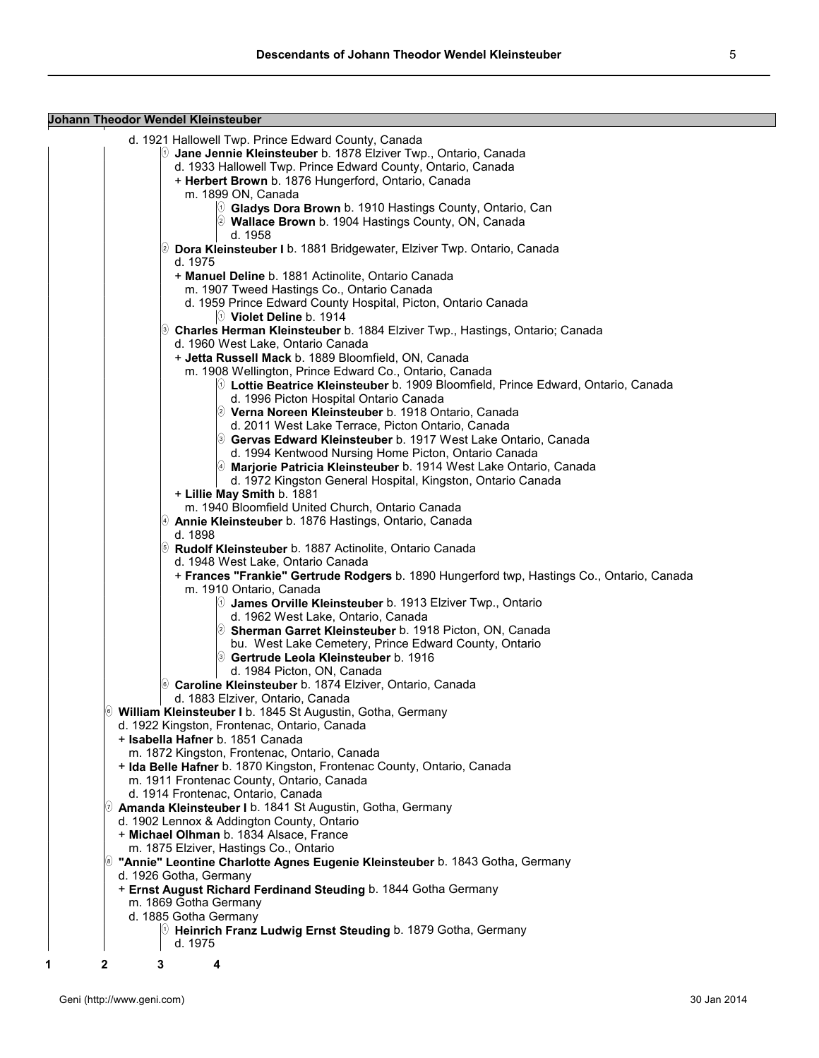**Johann Theodor Wendel Kleinsteuber** d. 1921 Hallowell Twp. Prince Edward County, Canada <sup>1</sup> **Jane Jennie Kleinsteuber** b. 1878 Elziver Twp., Ontario, Canada d. 1933 Hallowell Twp. Prince Edward County, Ontario, Canada + **Herbert Brown** b. 1876 Hungerford, Ontario, Canada m. 1899 ON, Canada <sup>1</sup> **Gladys Dora Brown** b. 1910 Hastings County, Ontario, Can <sup>2</sup> **Wallace Brown** b. 1904 Hastings County, ON, Canada d. 1958 <sup>2</sup> **Dora Kleinsteuber I** b. 1881 Bridgewater, Elziver Twp. Ontario, Canada d. 1975 + **Manuel Deline** b. 1881 Actinolite, Ontario Canada m. 1907 Tweed Hastings Co., Ontario Canada d. 1959 Prince Edward County Hospital, Picton, Ontario Canada <sup>1</sup> **Violet Deline** b. 1914 <sup>3</sup> **Charles Herman Kleinsteuber** b. 1884 Elziver Twp., Hastings, Ontario; Canada d. 1960 West Lake, Ontario Canada + **Jetta Russell Mack** b. 1889 Bloomfield, ON, Canada m. 1908 Wellington, Prince Edward Co., Ontario, Canada <sup>1</sup> **Lottie Beatrice Kleinsteuber** b. 1909 Bloomfield, Prince Edward, Ontario, Canada d. 1996 Picton Hospital Ontario Canada <sup>2</sup> **Verna Noreen Kleinsteuber** b. 1918 Ontario, Canada d. 2011 West Lake Terrace, Picton Ontario, Canada <sup>3</sup> **Gervas Edward Kleinsteuber** b. 1917 West Lake Ontario, Canada d. 1994 Kentwood Nursing Home Picton, Ontario Canada <sup>4</sup> **Marjorie Patricia Kleinsteuber** b. 1914 West Lake Ontario, Canada d. 1972 Kingston General Hospital, Kingston, Ontario Canada + **Lillie May Smith** b. 1881 m. 1940 Bloomfield United Church, Ontario Canada <sup>4</sup> **Annie Kleinsteuber** b. 1876 Hastings, Ontario, Canada d. 1898 <sup>5</sup> **Rudolf Kleinsteuber** b. 1887 Actinolite, Ontario Canada d. 1948 West Lake, Ontario Canada + **Frances "Frankie" Gertrude Rodgers** b. 1890 Hungerford twp, Hastings Co., Ontario, Canada m. 1910 Ontario, Canada <sup>1</sup> **James Orville Kleinsteuber** b. 1913 Elziver Twp., Ontario d. 1962 West Lake, Ontario, Canada <sup>2</sup> **Sherman Garret Kleinsteuber** b. 1918 Picton, ON, Canada bu. West Lake Cemetery, Prince Edward County, Ontario <sup>3</sup> **Gertrude Leola Kleinsteuber** b. 1916 d. 1984 Picton, ON, Canada <sup>6</sup> **Caroline Kleinsteuber** b. 1874 Elziver, Ontario, Canada d. 1883 Elziver, Ontario, Canada <sup>6</sup> **William Kleinsteuber I** b. 1845 St Augustin, Gotha, Germany d. 1922 Kingston, Frontenac, Ontario, Canada + **Isabella Hafner** b. 1851 Canada m. 1872 Kingston, Frontenac, Ontario, Canada + **Ida Belle Hafner** b. 1870 Kingston, Frontenac County, Ontario, Canada m. 1911 Frontenac County, Ontario, Canada d. 1914 Frontenac, Ontario, Canada <sup>7</sup> **Amanda Kleinsteuber I** b. 1841 St Augustin, Gotha, Germany d. 1902 Lennox & Addington County, Ontario + **Michael Olhman** b. 1834 Alsace, France m. 1875 Elziver, Hastings Co., Ontario <sup>8</sup> **"Annie" Leontine Charlotte Agnes Eugenie Kleinsteuber** b. 1843 Gotha, Germany d. 1926 Gotha, Germany + **Ernst August Richard Ferdinand Steuding** b. 1844 Gotha Germany m. 1869 Gotha Germany d. 1885 Gotha Germany <sup>1</sup> **Heinrich Franz Ludwig Ernst Steuding** b. 1879 Gotha, Germany d. 1975 **1 2 3 4**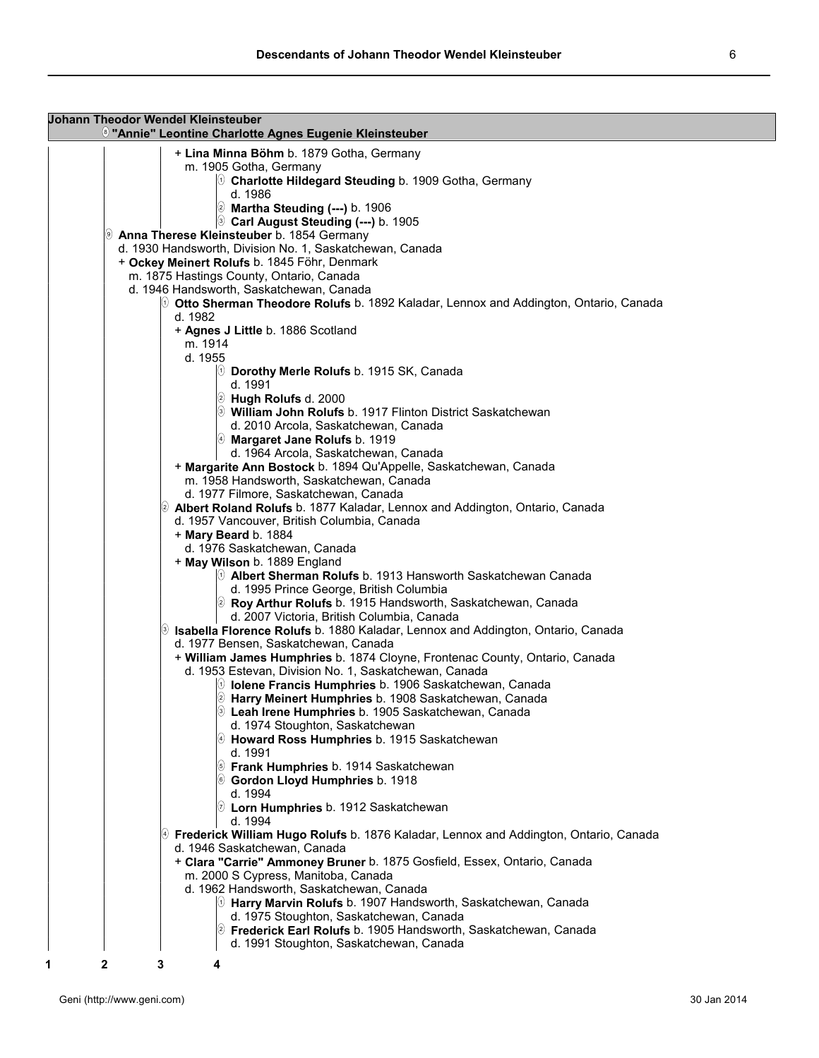| <b>Johann Theodor Wendel Kleinsteuber</b><br><sup>®</sup> "Annie" Leontine Charlotte Agnes Eugenie Kleinsteuber |  |
|-----------------------------------------------------------------------------------------------------------------|--|
|                                                                                                                 |  |
| + Lina Minna Böhm b. 1879 Gotha, Germany<br>m. 1905 Gotha, Germany                                              |  |
| $\%$ Charlotte Hildegard Steuding b. 1909 Gotha, Germany                                                        |  |
| d. 1986<br><b>2</b> Martha Steuding (---) b. 1906                                                               |  |
| <sup>3</sup> Carl August Steuding (---) b. 1905                                                                 |  |
| 9 Anna Therese Kleinsteuber b. 1854 Germany                                                                     |  |
| d. 1930 Handsworth, Division No. 1, Saskatchewan, Canada                                                        |  |
| + Ockey Meinert Rolufs b. 1845 Föhr, Denmark                                                                    |  |
| m. 1875 Hastings County, Ontario, Canada                                                                        |  |
| d. 1946 Handsworth, Saskatchewan, Canada                                                                        |  |
| $\circledcirc$ Otto Sherman Theodore Rolufs b. 1892 Kaladar, Lennox and Addington, Ontario, Canada              |  |
| d. 1982                                                                                                         |  |
| + Agnes J Little b. 1886 Scotland                                                                               |  |
| m. 1914                                                                                                         |  |
| d. 1955                                                                                                         |  |
| $\%$ Dorothy Merle Rolufs b. 1915 SK, Canada                                                                    |  |
| d. 1991                                                                                                         |  |
| <i>S</i> Hugh Rolufs d. 2000                                                                                    |  |
| S William John Rolufs b. 1917 Flinton District Saskatchewan                                                     |  |
| d. 2010 Arcola, Saskatchewan, Canada                                                                            |  |
| 4 Margaret Jane Rolufs b. 1919                                                                                  |  |
| d. 1964 Arcola, Saskatchewan, Canada                                                                            |  |
| + Margarite Ann Bostock b. 1894 Qu'Appelle, Saskatchewan, Canada                                                |  |
| m. 1958 Handsworth, Saskatchewan, Canada                                                                        |  |
| d. 1977 Filmore, Saskatchewan, Canada                                                                           |  |
| 2 Albert Roland Rolufs b. 1877 Kaladar, Lennox and Addington, Ontario, Canada                                   |  |
| d. 1957 Vancouver, British Columbia, Canada                                                                     |  |
| + Mary Beard b. 1884                                                                                            |  |
| d. 1976 Saskatchewan, Canada                                                                                    |  |
| + May Wilson b. 1889 England                                                                                    |  |
| $\Diamond$ Albert Sherman Rolufs b. 1913 Hansworth Saskatchewan Canada                                          |  |
| d. 1995 Prince George, British Columbia                                                                         |  |
| 2 Roy Arthur Rolufs b. 1915 Handsworth, Saskatchewan, Canada                                                    |  |
| d. 2007 Victoria, British Columbia, Canada                                                                      |  |
| 9 Isabella Florence Rolufs b. 1880 Kaladar, Lennox and Addington, Ontario, Canada                               |  |
| d. 1977 Bensen, Saskatchewan, Canada                                                                            |  |
| + William James Humphries b. 1874 Cloyne, Frontenac County, Ontario, Canada                                     |  |
| d. 1953 Estevan, Division No. 1, Saskatchewan, Canada                                                           |  |
| $\%$ lolene Francis Humphries b. 1906 Saskatchewan, Canada                                                      |  |
| 2 Harry Meinert Humphries b. 1908 Saskatchewan, Canada                                                          |  |
| <b>S</b> Leah Irene Humphries b. 1905 Saskatchewan, Canada                                                      |  |
| d. 1974 Stoughton, Saskatchewan                                                                                 |  |
| $\Theta$ Howard Ross Humphries b. 1915 Saskatchewan                                                             |  |
| d. 1991                                                                                                         |  |
| <b>S</b> Frank Humphries b. 1914 Saskatchewan                                                                   |  |
| ⑥ Gordon Lloyd Humphries b. 1918                                                                                |  |
| d. 1994                                                                                                         |  |
| $\circledR$ Lorn Humphries b. 1912 Saskatchewan<br>d. 1994                                                      |  |
| $\circledast$ Frederick William Hugo Rolufs b. 1876 Kaladar, Lennox and Addington, Ontario, Canada              |  |
| d. 1946 Saskatchewan, Canada                                                                                    |  |
| + Clara "Carrie" Ammoney Bruner b. 1875 Gosfield, Essex, Ontario, Canada                                        |  |
| m. 2000 S Cypress, Manitoba, Canada                                                                             |  |
| d. 1962 Handsworth, Saskatchewan, Canada                                                                        |  |
| <sup>(∪</sup> Harry Marvin Rolufs b. 1907 Handsworth, Saskatchewan, Canada                                      |  |
| d. 1975 Stoughton, Saskatchewan, Canada                                                                         |  |
| 2 Frederick Earl Rolufs b. 1905 Handsworth, Saskatchewan, Canada                                                |  |
| d. 1991 Stoughton, Saskatchewan, Canada                                                                         |  |
| 2<br>1<br>3<br>4                                                                                                |  |
|                                                                                                                 |  |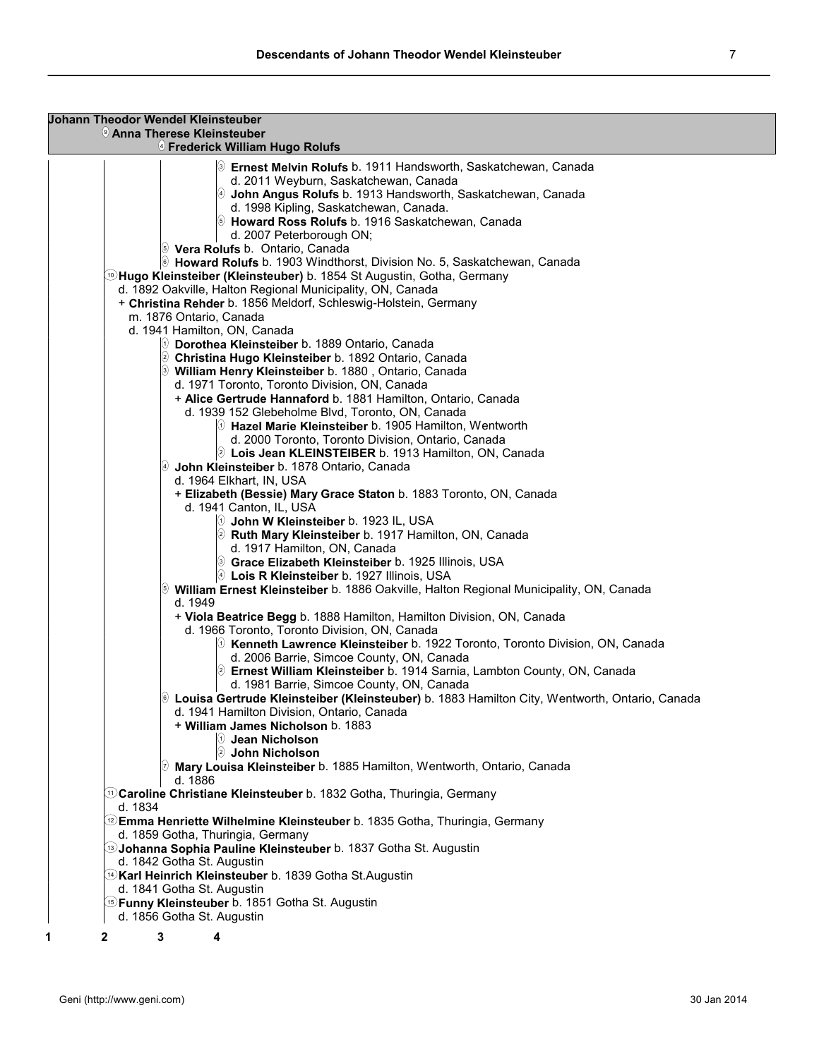| <b>Johann Theodor Wendel Kleinsteuber</b> |                | <b>Jeanna Therese Kleinsteuber</b><br><sup>4</sup> Frederick William Hugo Rolufs                                          |
|-------------------------------------------|----------------|---------------------------------------------------------------------------------------------------------------------------|
|                                           |                |                                                                                                                           |
|                                           |                | <b>Demest Melvin Rolufs</b> b. 1911 Handsworth, Saskatchewan, Canada<br>d. 2011 Weyburn, Saskatchewan, Canada             |
|                                           |                | $\Theta$ John Angus Rolufs b. 1913 Handsworth, Saskatchewan, Canada                                                       |
|                                           |                | d. 1998 Kipling, Saskatchewan, Canada.                                                                                    |
|                                           |                | <b>S</b> Howard Ross Rolufs b. 1916 Saskatchewan, Canada                                                                  |
|                                           |                | d. 2007 Peterborough ON;                                                                                                  |
|                                           |                | <b>Vera Rolufs</b> b. Ontario, Canada                                                                                     |
|                                           |                | <sup>(6)</sup> Howard Rolufs b. 1903 Windthorst, Division No. 5, Saskatchewan, Canada                                     |
|                                           |                | ⑩Hugo Kleinsteiber (Kleinsteuber) b. 1854 St Augustin, Gotha, Germany                                                     |
|                                           |                | d. 1892 Oakville, Halton Regional Municipality, ON, Canada                                                                |
|                                           |                | + Christina Rehder b. 1856 Meldorf, Schleswig-Holstein, Germany<br>m. 1876 Ontario, Canada                                |
|                                           |                | d. 1941 Hamilton, ON, Canada                                                                                              |
|                                           |                | $\%$ Dorothea Kleinsteiber b. 1889 Ontario, Canada                                                                        |
|                                           |                | 2 Christina Hugo Kleinsteiber b. 1892 Ontario, Canada                                                                     |
|                                           |                | <sup>(3)</sup> William Henry Kleinsteiber b. 1880, Ontario, Canada                                                        |
|                                           |                | d. 1971 Toronto, Toronto Division, ON, Canada                                                                             |
|                                           |                | + Alice Gertrude Hannaford b. 1881 Hamilton, Ontario, Canada                                                              |
|                                           |                | d. 1939 152 Glebeholme Blvd, Toronto, ON, Canada                                                                          |
|                                           |                | $\Diamond$ Hazel Marie Kleinsteiber b. 1905 Hamilton, Wentworth                                                           |
|                                           |                | d. 2000 Toronto, Toronto Division, Ontario, Canada<br>2 Lois Jean KLEINSTEIBER b. 1913 Hamilton, ON, Canada               |
|                                           |                | John Kleinsteiber b. 1878 Ontario, Canada                                                                                 |
|                                           |                | d. 1964 Elkhart, IN, USA                                                                                                  |
|                                           |                | + Elizabeth (Bessie) Mary Grace Staton b. 1883 Toronto, ON, Canada                                                        |
|                                           |                | d. 1941 Canton, IL, USA                                                                                                   |
|                                           |                |                                                                                                                           |
|                                           |                | 2 Ruth Mary Kleinsteiber b. 1917 Hamilton, ON, Canada                                                                     |
|                                           |                | d. 1917 Hamilton, ON, Canada                                                                                              |
|                                           |                | <b>Scrace Elizabeth Kleinsteiber</b> b. 1925 Illinois, USA                                                                |
|                                           |                | $\lbrack\!\lbrack\mathbf{\theta} \rbrack$ Lois R Kleinsteiber b. 1927 Illinois, USA                                       |
|                                           | (5)<br>d. 1949 | William Ernest Kleinsteiber b. 1886 Oakville, Halton Regional Municipality, ON, Canada                                    |
|                                           |                | + Viola Beatrice Begg b. 1888 Hamilton, Hamilton Division, ON, Canada                                                     |
|                                           |                | d. 1966 Toronto, Toronto Division, ON, Canada                                                                             |
|                                           |                | $\odot$ Kenneth Lawrence Kleinsteiber b. 1922 Toronto, Toronto Division, ON, Canada                                       |
|                                           |                | d. 2006 Barrie, Simcoe County, ON, Canada                                                                                 |
|                                           |                | 2 Ernest William Kleinsteiber b. 1914 Sarnia, Lambton County, ON, Canada                                                  |
|                                           |                | d. 1981 Barrie, Simcoe County, ON, Canada                                                                                 |
|                                           |                | $^\circledast$ Louisa Gertrude Kleinsteiber (Kleinsteuber) <code>b. 1883</code> Hamilton City, Wentworth, Ontario, Canada |
|                                           |                | d. 1941 Hamilton Division, Ontario, Canada<br>+ William James Nicholson b. 1883                                           |
|                                           |                | $  0 \>$ Jean Nicholson                                                                                                   |
|                                           |                | O<br>John Nicholson                                                                                                       |
|                                           |                | $\textcircled{v}$ Mary Louisa Kleinsteiber b. 1885 Hamilton, Wentworth, Ontario, Canada                                   |
|                                           | d. 1886        |                                                                                                                           |
|                                           |                | <b>1832 Garoline Christiane Kleinsteuber</b> b. 1832 Gotha, Thuringia, Germany                                            |
| d. 1834                                   |                |                                                                                                                           |
|                                           |                | <b>2 Emma Henriette Wilhelmine Kleinsteuber</b> b. 1835 Gotha, Thuringia, Germany                                         |
|                                           |                | d. 1859 Gotha, Thuringia, Germany                                                                                         |
|                                           |                | <b>337 Gothanna Sophia Pauline Kleinsteuber</b> b. 1837 Gotha St. Augustin<br>d. 1842 Gotha St. Augustin                  |
|                                           |                | <sup>(</sup> t) <b>Karl Heinrich Kleinsteuber</b> b. 1839 Gotha St.Augustin                                               |
|                                           |                | d. 1841 Gotha St. Augustin                                                                                                |
|                                           |                | <b>5 Funny Kleinsteuber</b> b. 1851 Gotha St. Augustin                                                                    |
|                                           |                | d. 1856 Gotha St. Augustin                                                                                                |
| 2                                         | 3              | 4                                                                                                                         |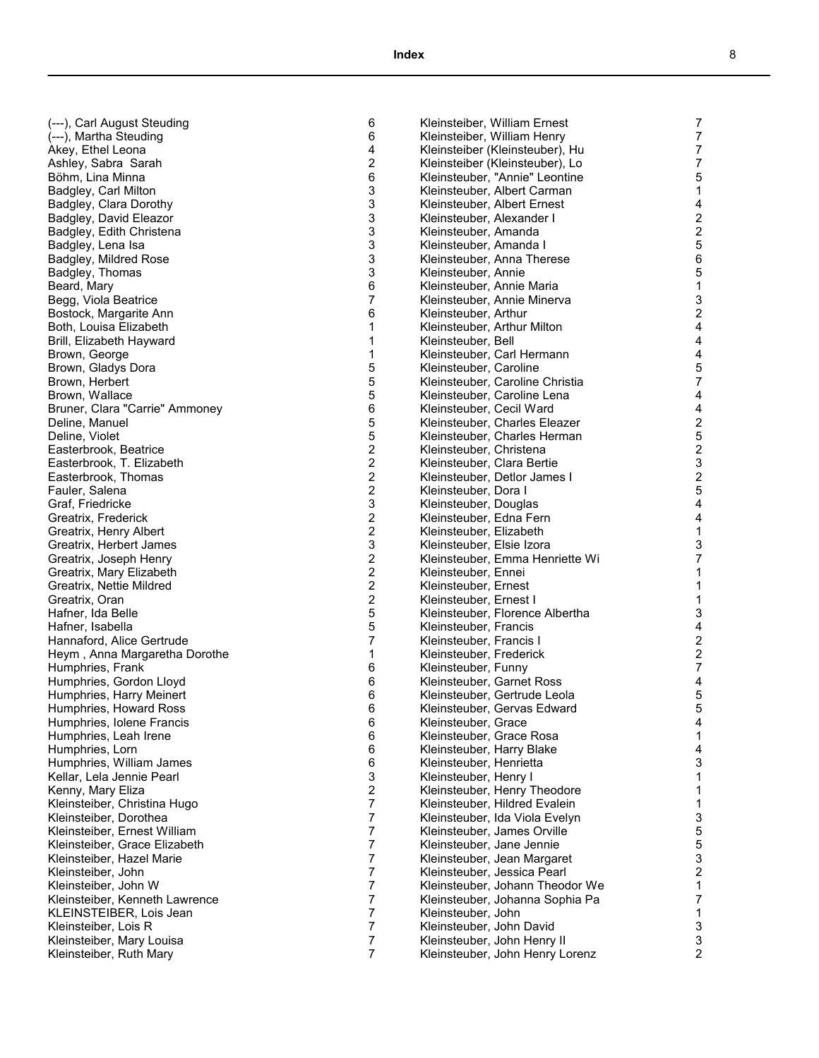6

6

4

2

6

3

3

3

3

3

3

3

6

7

6

1

1

1

5

5

5

6

5

5

2

2

2

2

3

2

2

3

2

2

2

2

5

5

7

1

6

6

6

6

6

6

6

6

3

2

7

7

7

7

7

7

7

7

7

7

7

7

| (---), Carl August Steuding                      |
|--------------------------------------------------|
| (---), Martha Steuding                           |
| Akey, Ethel Leona                                |
| Ashley, Sabra Sarah                              |
| Böhm, Lina Minna                                 |
| Badgley, Carl Milton                             |
| Badgley, Clara Dorothy                           |
| <b>Badgley, David Eleazor</b>                    |
| Badgley, Edith Christena                         |
| Badgley, Lena Isa                                |
| Badgley, Mildred Rose                            |
| Badgley, Thomas                                  |
| Beard, Mary                                      |
| Begg, Viola Beatrice                             |
| Bostock, Margarite Ann                           |
| Both, Louisa Elizabeth                           |
| Brill, Elizabeth Hayward                         |
| Brown, George                                    |
| Brown, Gladys Dora                               |
| Brown, Herbert                                   |
| Brown, Wallace                                   |
| Bruner, Clara "Carrie" Ammoney                   |
|                                                  |
| Deline, Manuel<br>Deline, Violet                 |
|                                                  |
| Easterbrook, Beatrice                            |
| Easterbrook, T. Elizabeth<br>Easterbrook, Thomas |
|                                                  |
| Fauler, Salena                                   |
| Graf, Friedricke                                 |
| Greatrix, Frederick                              |
| Greatrix, Henry Albert                           |
| Greatrix, Herbert James                          |
| Greatrix, Joseph Henry                           |
| Greatrix, Mary Elizabeth                         |
| Greatrix, Nettie Mildred                         |
| Greatrix, Oran                                   |
| Hafner, Ida Belle                                |
| Hafner, Isabella                                 |
| Hannaford, Alice Gertrude                        |
| Heym, Anna Margaretha Dorothe                    |
| Humphries, Frank                                 |
| Humphries, Gordon Lloyd                          |
| Humphries, Harry Meinert                         |
| Humphries, Howard Ross                           |
| Humphries, Iolene Francis                        |
| Humphries, Leah Irene                            |
| Humphries, Lorn                                  |
| Humphries, William James                         |
| Kellar, Lela Jennie Pearl                        |
| Kenny, Mary Eliza                                |
| Kleinsteiber, Christina Hugo                     |
| Kleinsteiber, Dorothea                           |
| Kleinsteiber, Ernest William                     |
| Kleinsteiber, Grace Elizabeth                    |
| Kleinsteiber, Hazel Marie                        |
| Kleinsteiber, John                               |
| Kleinsteiber, John W                             |
| Kleinsteiber, Kenneth Lawrence                   |
| KLEINSTEIBER, Lois Jean                          |
| Kleinsteiber, Lois R                             |
| Kleinsteiber, Mary Louisa                        |
| Kleinsteiber, Ruth Mary                          |
|                                                  |

|                                 | 7              |
|---------------------------------|----------------|
| Kleinsteiber, William Ernest    |                |
| Kleinsteiber, William Henry     | 7              |
| Kleinsteiber (Kleinsteuber), Hu | 7              |
| Kleinsteiber (Kleinsteuber), Lo | 7              |
| Kleinsteuber, "Annie" Leontine  | 5              |
| Kleinsteuber, Albert Carman     | 1              |
| Kleinsteuber, Albert Ernest     | 4              |
| Kleinsteuber, Alexander I       | $\frac{2}{2}$  |
| Kleinsteuber, Amanda            |                |
| Kleinsteuber, Amanda I          | 5              |
| Kleinsteuber, Anna Therese      | 6              |
| Kleinsteuber, Annie             | 5              |
| Kleinsteuber, Annie Maria       | 1              |
| Kleinsteuber, Annie Minerva     | 3              |
| Kleinsteuber, Arthur            | $\overline{2}$ |
| Kleinsteuber, Arthur Milton     | 4              |
| Kleinsteuber, Bell              | 4              |
| Kleinsteuber, Carl Hermann      | 4              |
|                                 | 5              |
| Kleinsteuber, Caroline          | 7              |
| Kleinsteuber, Caroline Christia |                |
| Kleinsteuber, Caroline Lena     | 4              |
| Kleinsteuber, Cecil Ward        | 4              |
| Kleinsteuber, Charles Eleazer   | $\frac{2}{5}$  |
| Kleinsteuber, Charles Herman    |                |
| Kleinsteuber, Christena         | $\overline{c}$ |
| Kleinsteuber, Clara Bertie      | 3              |
| Kleinsteuber, Detlor James I    | $\overline{2}$ |
| Kleinsteuber, Dora I            | 5              |
| Kleinsteuber, Douglas           | 4              |
| Kleinsteuber, Edna Fern         | 4              |
| Kleinsteuber, Elizabeth         | $\mathbf{1}$   |
| Kleinsteuber, Elsie Izora       | 3              |
| Kleinsteuber, Emma Henriette Wi | 7              |
| Kleinsteuber, Ennei             | $\mathbf{1}$   |
| Kleinsteuber, Ernest            | $\mathbf{1}$   |
| Kleinsteuber, Ernest I          | 1              |
| Kleinsteuber, Florence Albertha | 3              |
| Kleinsteuber, Francis           | 4              |
| Kleinsteuber, Francis I         | $\overline{c}$ |
| Kleinsteuber, Frederick         | $\overline{c}$ |
| Kleinsteuber, Funny             | $\overline{7}$ |
| Kleinsteuber, Garnet Ross       | 4              |
| Kleinsteuber, Gertrude Leola    | 5              |
| Kleinsteuber, Gervas Edward     | 5              |
| Kleinsteuber, Grace             | 4              |
| Kleinsteuber, Grace Rosa        | 1              |
|                                 |                |
| Kleinsteuber, Harry Blake       | 4<br>3         |
| Kleinsteuber, Henrietta         |                |
| Kleinsteuber, Henry I           | 1              |
| Kleinsteuber, Henry Theodore    | 1              |
| Kleinsteuber, Hildred Evalein   | $\mathbf{1}$   |
| Kleinsteuber, Ida Viola Evelyn  | 3              |
| Kleinsteuber, James Orville     | 5              |
| Kleinsteuber, Jane Jennie       | 5              |
| Kleinsteuber, Jean Margaret     | 3              |
| Kleinsteuber, Jessica Pearl     | $\overline{c}$ |
| Kleinsteuber, Johann Theodor We | 1              |
| Kleinsteuber, Johanna Sophia Pa | 7              |
| Kleinsteuber, John              | 1              |
| Kleinsteuber, John David        | 3              |
| Kleinsteuber, John Henry II     | 3              |
| Kleinsteuber, John Henry Lorenz | $\overline{2}$ |
|                                 |                |

1